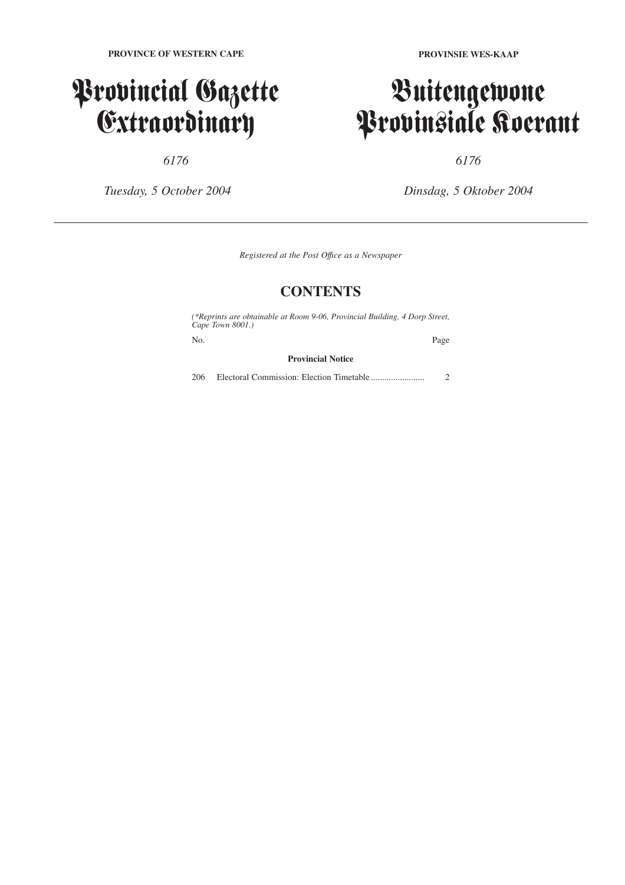### Provincial Gazette Extraordinary

*6176*

*Tuesday, 5 October 2004*

**PROVINSIE WES-KAAP**

## Buitengewone Provinsiale Koerant

*6176*

*Dinsdag, 5 Oktober 2004*

*Registered at the Post Offıce as a Newspaper*

### **CONTENTS**

*(\*Reprints are obtainable at Room 9-06, Provincial Building, 4 Dorp Street, Cape Town 8001.)*

No. Page

**Provincial Notice**

206 Electoral Commission: Election Timetable ........................ 2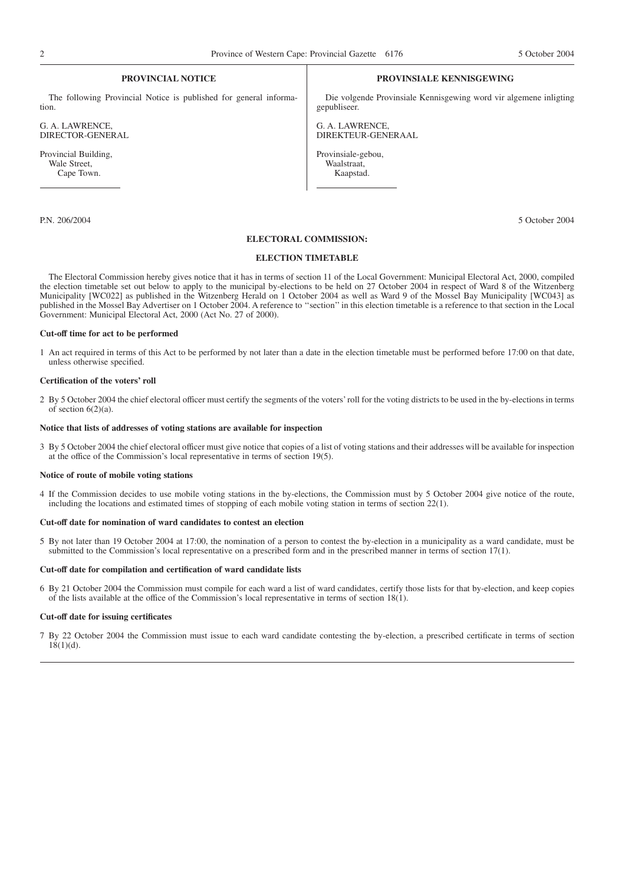#### **PROVINCIAL NOTICE**

The following Provincial Notice is published for general information.

G. A. LAWRENCE, DIRECTOR-GENERAL

Provincial Building, Wale Street, Cape Town.

#### **PROVINSIALE KENNISGEWING**

Die volgende Provinsiale Kennisgewing word vir algemene inligting gepubliseer.

G. A. LAWRENCE, DIREKTEUR-GENERAAL

Provinsiale-gebou, Waalstraat, Kaapstad.

P.N. 206/2004 5 October 2004

#### **ELECTORAL COMMISSION:**

#### **ELECTION TIMETABLE**

The Electoral Commission hereby gives notice that it has in terms of section 11 of the Local Government: Municipal Electoral Act, 2000, compiled the election timetable set out below to apply to the municipal by-elections to be held on 27 October 2004 in respect of Ward 8 of the Witzenberg Municipality [WC022] as published in the Witzenberg Herald on 1 October 2004 as well as Ward 9 of the Mossel Bay Municipality [WC043] as published in the Mossel Bay Advertiser on 1 October 2004. A reference to ''section'' in this election timetable is a reference to that section in the Local Government: Municipal Electoral Act, 2000 (Act No. 27 of 2000).

#### **Cut-off time for act to be performed**

1 An act required in terms of this Act to be performed by not later than a date in the election timetable must be performed before 17:00 on that date, unless otherwise specified.

#### **Certification of the voters' roll**

2 By 5 October 2004 the chief electoral officer must certify the segments of the voters' roll for the voting districts to be used in the by-elections in terms of section  $6(2)(a)$ .

#### **Notice that lists of addresses of voting stations are available for inspection**

3 By 5 October 2004 the chief electoral officer must give notice that copies of a list of voting stations and their addresses will be available for inspection at the office of the Commission's local representative in terms of section 19(5).

#### **Notice of route of mobile voting stations**

4 If the Commission decides to use mobile voting stations in the by-elections, the Commission must by 5 October 2004 give notice of the route, including the locations and estimated times of stopping of each mobile voting station in terms of section 22(1).

#### **Cut-off date for nomination of ward candidates to contest an election**

5 By not later than 19 October 2004 at 17:00, the nomination of a person to contest the by-election in a municipality as a ward candidate, must be submitted to the Commission's local representative on a prescribed form and in the prescribed manner in terms of section 17(1).

#### **Cut-off date for compilation and certification of ward candidate lists**

6 By 21 October 2004 the Commission must compile for each ward a list of ward candidates, certify those lists for that by-election, and keep copies of the lists available at the office of the Commission's local representative in terms of section 18(1).

#### **Cut-off date for issuing certificates**

7 By 22 October 2004 the Commission must issue to each ward candidate contesting the by-election, a prescribed certificate in terms of section  $18(1)(d)$ .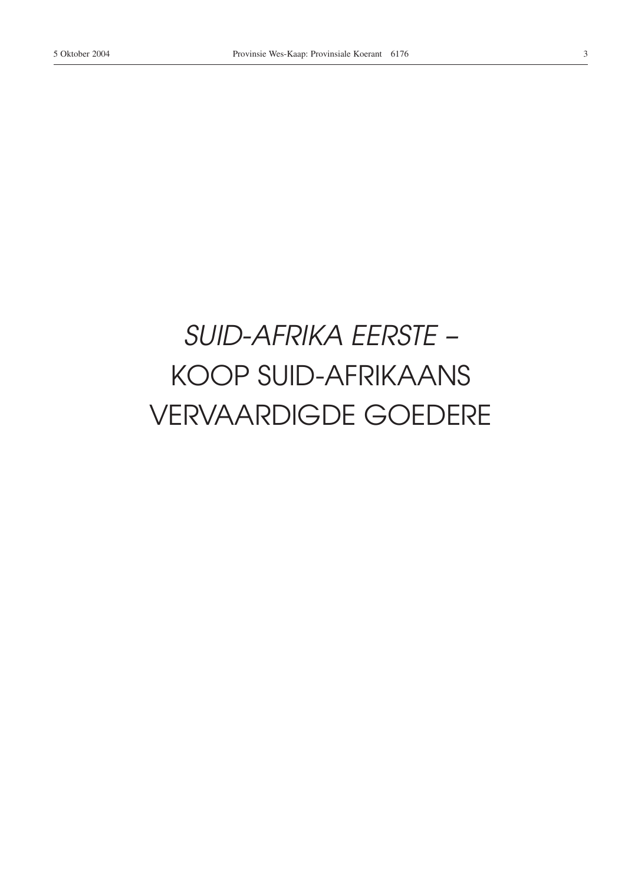## SUID-AFRIKA EERSTE -**KOOP SUID-AFRIKAANS VERVAARDIGDE GOEDERE**